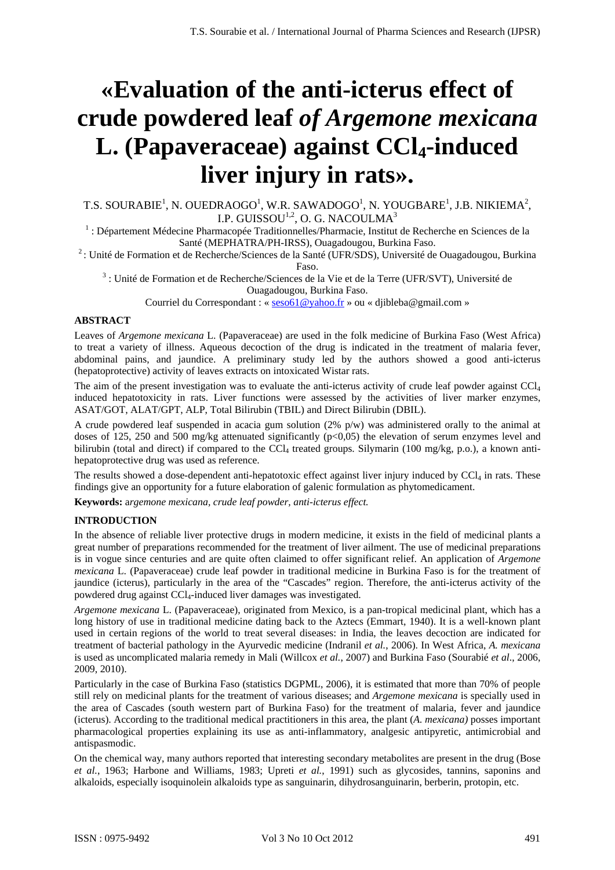# **«Evaluation of the anti-icterus effect of crude powdered leaf** *of Argemone mexicana* L. (Papaveraceae) against CCl<sub>4</sub>-induced **liver injury in rats».**

T.S. SOURABIE<sup>1</sup>, N. OUEDRAOGO<sup>1</sup>, W.R. SAWADOGO<sup>1</sup>, N. YOUGBARE<sup>1</sup>, J.B. NIKIEMA<sup>2</sup>, I.P. GUISSOU<sup>1,2</sup>, O. G. NACOULMA<sup>3</sup>

<sup>1</sup> : Département Médecine Pharmacopée Traditionnelles/Pharmacie, Institut de Recherche en Sciences de la

Santé (MEPHATRA/PH-IRSS), Ouagadougou, Burkina Faso.<br><sup>2</sup> : Unité de Formation et de Recherche/Sciences de la Santé (UFR/SDS), Université de Ouagadougou, Burkina

Faso. 3 : Unité de Formation et de Recherche/Sciences de la Vie et de la Terre (UFR/SVT), Université de Ouagadougou, Burkina Faso.

Courriel du Correspondant : « seso61@yahoo.fr » ou « djibleba@gmail.com »

# **ABSTRACT**

Leaves of *Argemone mexicana* L. (Papaveraceae) are used in the folk medicine of Burkina Faso (West Africa) to treat a variety of illness. Aqueous decoction of the drug is indicated in the treatment of malaria fever, abdominal pains, and jaundice. A preliminary study led by the authors showed a good anti-icterus (hepatoprotective) activity of leaves extracts on intoxicated Wistar rats.

The aim of the present investigation was to evaluate the anti-icterus activity of crude leaf powder against CCl<sub>4</sub> induced hepatotoxicity in rats. Liver functions were assessed by the activities of liver marker enzymes, ASAT/GOT, ALAT/GPT, ALP, Total Bilirubin (TBIL) and Direct Bilirubin (DBIL).

A crude powdered leaf suspended in acacia gum solution (2% p/w) was administered orally to the animal at doses of 125, 250 and 500 mg/kg attenuated significantly (p<0,05) the elevation of serum enzymes level and bilirubin (total and direct) if compared to the CCL treated groups. Silymarin (100 mg/kg, p.o.), a known antihepatoprotective drug was used as reference.

The results showed a dose-dependent anti-hepatotoxic effect against liver injury induced by  $\text{CCl}_4$  in rats. These findings give an opportunity for a future elaboration of galenic formulation as phytomedicament.

**Keywords:** a*rgemone mexicana, crude leaf powder, anti-icterus effect.*

#### **INTRODUCTION**

In the absence of reliable liver protective drugs in modern medicine, it exists in the field of medicinal plants a great number of preparations recommended for the treatment of liver ailment. The use of medicinal preparations is in vogue since centuries and are quite often claimed to offer significant relief. An application of *Argemone mexicana* L. (Papaveraceae) crude leaf powder in traditional medicine in Burkina Faso is for the treatment of jaundice (icterus), particularly in the area of the "Cascades" region. Therefore, the anti-icterus activity of the powdered drug against CCl4-induced liver damages was investigated.

*Argemone mexicana* L. (Papaveraceae), originated from Mexico, is a pan-tropical medicinal plant, which has a long history of use in traditional medicine dating back to the Aztecs (Emmart, 1940). It is a well-known plant used in certain regions of the world to treat several diseases: in India, the leaves decoction are indicated for treatment of bacterial pathology in the Ayurvedic medicine (Indranil *et al.*, 2006). In West Africa, *A. mexicana* is used as uncomplicated malaria remedy in Mali (Willcox *et al.*, 2007) and Burkina Faso (Sourabié *et al*., 2006, 2009, 2010).

Particularly in the case of Burkina Faso (statistics DGPML, 2006), it is estimated that more than 70% of people still rely on medicinal plants for the treatment of various diseases; and *Argemone mexicana* is specially used in the area of Cascades (south western part of Burkina Faso) for the treatment of malaria, fever and jaundice (icterus). According to the traditional medical practitioners in this area, the plant (*A. mexicana)* posses important pharmacological properties explaining its use as anti-inflammatory, analgesic antipyretic, antimicrobial and antispasmodic.

On the chemical way, many authors reported that interesting secondary metabolites are present in the drug (Bose *et al.*, 1963; Harbone and Williams, 1983; Upreti *et al.*, 1991) such as glycosides, tannins, saponins and alkaloids, especially isoquinolein alkaloids type as sanguinarin, dihydrosanguinarin, berberin, protopin, etc.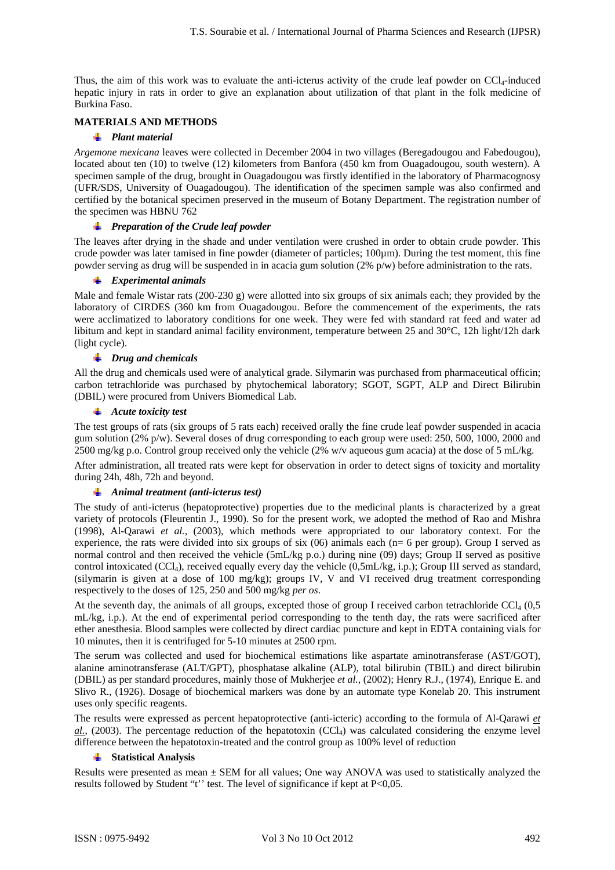Thus, the aim of this work was to evaluate the anti-icterus activity of the crude leaf powder on  $\text{CC}l_4$ -induced hepatic injury in rats in order to give an explanation about utilization of that plant in the folk medicine of Burkina Faso.

# **MATERIALS AND METHODS**

#### *Plant material*

*Argemone mexicana* leaves were collected in December 2004 in two villages (Beregadougou and Fabedougou), located about ten (10) to twelve (12) kilometers from Banfora (450 km from Ouagadougou, south western). A specimen sample of the drug, brought in Ouagadougou was firstly identified in the laboratory of Pharmacognosy (UFR/SDS, University of Ouagadougou). The identification of the specimen sample was also confirmed and certified by the botanical specimen preserved in the museum of Botany Department. The registration number of the specimen was HBNU 762

#### *Preparation of the Crude leaf powder*

The leaves after drying in the shade and under ventilation were crushed in order to obtain crude powder. This crude powder was later tamised in fine powder (diameter of particles; 100µm). During the test moment, this fine powder serving as drug will be suspended in in acacia gum solution (2% p/w) before administration to the rats.

#### *Experimental animals*

Male and female Wistar rats (200-230 g) were allotted into six groups of six animals each; they provided by the laboratory of CIRDES (360 km from Ouagadougou. Before the commencement of the experiments, the rats were acclimatized to laboratory conditions for one week. They were fed with standard rat feed and water ad libitum and kept in standard animal facility environment, temperature between 25 and 30°C, 12h light/12h dark (light cycle).

# *Drug and chemicals*

All the drug and chemicals used were of analytical grade. Silymarin was purchased from pharmaceutical officin; carbon tetrachloride was purchased by phytochemical laboratory; SGOT, SGPT, ALP and Direct Bilirubin (DBIL) were procured from Univers Biomedical Lab.

#### *Acute toxicity test*

The test groups of rats (six groups of 5 rats each) received orally the fine crude leaf powder suspended in acacia gum solution (2% p/w). Several doses of drug corresponding to each group were used: 250, 500, 1000, 2000 and 2500 mg/kg p.o. Control group received only the vehicle (2% w/v aqueous gum acacia) at the dose of 5 mL/kg.

After administration, all treated rats were kept for observation in order to detect signs of toxicity and mortality during 24h, 48h, 72h and beyond.

## *Animal treatment (anti-icterus test)*

The study of anti-icterus (hepatoprotective) properties due to the medicinal plants is characterized by a great variety of protocols (Fleurentin J., 1990). So for the present work, we adopted the method of Rao and Mishra (1998), Al-Qarawi *et al.*, (2003), which methods were appropriated to our laboratory context. For the experience, the rats were divided into six groups of six (06) animals each (n= 6 per group). Group I served as normal control and then received the vehicle (5mL/kg p.o.) during nine (09) days; Group II served as positive control intoxicated (CCl<sub>4</sub>), received equally every day the vehicle (0,5mL/kg, i.p.); Group III served as standard, (silymarin is given at a dose of 100 mg/kg); groups IV, V and VI received drug treatment corresponding respectively to the doses of 125, 250 and 500 mg/kg *per os*.

At the seventh day, the animals of all groups, excepted those of group I received carbon tetrachloride  $\text{CCI}_4$  (0,5) mL/kg, i.p.). At the end of experimental period corresponding to the tenth day, the rats were sacrificed after ether anesthesia. Blood samples were collected by direct cardiac puncture and kept in EDTA containing vials for 10 minutes, then it is centrifuged for 5-10 minutes at 2500 rpm.

The serum was collected and used for biochemical estimations like aspartate aminotransferase (AST/GOT), alanine aminotransferase (ALT/GPT), phosphatase alkaline (ALP), total bilirubin (TBIL) and direct bilirubin (DBIL) as per standard procedures, mainly those of Mukherjee *et al.*, (2002); Henry R.J., (1974), Enrique E. and Slivo R., (1926). Dosage of biochemical markers was done by an automate type Konelab 20. This instrument uses only specific reagents.

The results were expressed as percent hepatoprotective (anti-icteric) according to the formula of Al-Qarawi *et*   $al.$ , (2003). The percentage reduction of the hepatotoxin (CCl<sub>4</sub>) was calculated considering the enzyme level difference between the hepatotoxin-treated and the control group as 100% level of reduction

## **Statistical Analysis**

Results were presented as mean  $\pm$  SEM for all values; One way ANOVA was used to statistically analyzed the results followed by Student "t'' test. The level of significance if kept at P<0,05.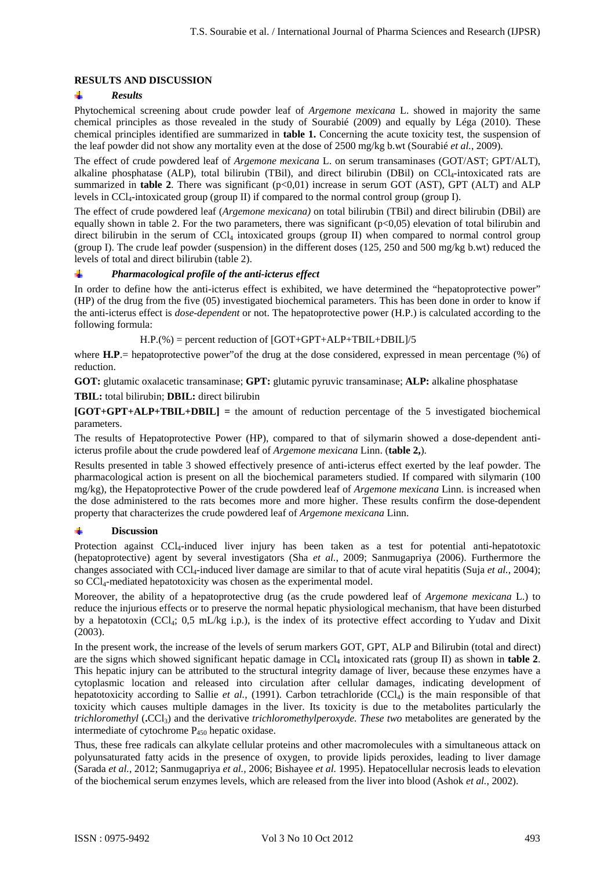# **RESULTS AND DISCUSSION**

#### ÷ *Results*

Phytochemical screening about crude powder leaf of *Argemone mexicana* L. showed in majority the same chemical principles as those revealed in the study of Sourabié (2009) and equally by Léga (2010). These chemical principles identified are summarized in **table 1.** Concerning the acute toxicity test, the suspension of the leaf powder did not show any mortality even at the dose of 2500 mg/kg b.wt (Sourabié *et al.*, 2009).

The effect of crude powdered leaf of *Argemone mexicana* L. on serum transaminases (GOT/AST; GPT/ALT), alkaline phosphatase (ALP), total bilirubin (TBil), and direct bilirubin (DBil) on  $\text{Cl}_4$ -intoxicated rats are summarized in **table 2**. There was significant  $(p<0,01)$  increase in serum GOT (AST), GPT (ALT) and ALP levels in CCl<sub>4</sub>-intoxicated group (group II) if compared to the normal control group (group I).

The effect of crude powdered leaf (*Argemone mexicana)* on total bilirubin (TBil) and direct bilirubin (DBil) are equally shown in table 2. For the two parameters, there was significant ( $p<0.05$ ) elevation of total bilirubin and direct bilirubin in the serum of  $\text{CCl}_4$  intoxicated groups (group II) when compared to normal control group (group I). The crude leaf powder (suspension) in the different doses (125, 250 and 500 mg/kg b.wt) reduced the levels of total and direct bilirubin (table 2).

#### 辈 *Pharmacological profile of the anti-icterus effect*

In order to define how the anti-icterus effect is exhibited, we have determined the "hepatoprotective power" (HP) of the drug from the five (05) investigated biochemical parameters. This has been done in order to know if the anti-icterus effect is *dose-dependent* or not. The hepatoprotective power (H.P.) is calculated according to the following formula:

 $H.P.$ (%) = percent reduction of  $[GOT+GPT+ALP+TBIL+DBIL]/5$ 

where **H.P**.= hepatoprotective power" of the drug at the dose considered, expressed in mean percentage (%) of reduction.

**GOT:** glutamic oxalacetic transaminase; **GPT:** glutamic pyruvic transaminase; **ALP:** alkaline phosphatase

## **TBIL:** total bilirubin; **DBIL:** direct bilirubin

**[GOT+GPT+ALP+TBIL+DBIL] =** the amount of reduction percentage of the 5 investigated biochemical parameters.

The results of Hepatoprotective Power (HP), compared to that of silymarin showed a dose-dependent antiicterus profile about the crude powdered leaf of *Argemone mexicana* Linn. (**table 2,**).

Results presented in table 3 showed effectively presence of anti-icterus effect exerted by the leaf powder. The pharmacological action is present on all the biochemical parameters studied. If compared with silymarin (100 mg/kg), the Hepatoprotective Power of the crude powdered leaf of *Argemone mexicana* Linn. is increased when the dose administered to the rats becomes more and more higher. These results confirm the dose-dependent property that characterizes the crude powdered leaf of *Argemone mexicana* Linn.

#### $\pm$ **Discussion**

Protection against CCl<sub>4</sub>-induced liver injury has been taken as a test for potential anti-hepatotoxic (hepatoprotective) agent by several investigators (Sha *et al.*, 2009; Sanmugapriya (2006). Furthermore the changes associated with CCl<sub>4</sub>-induced liver damage are similar to that of acute viral hepatitis (Suja et al., 2004); so CCl<sub>4</sub>-mediated hepatotoxicity was chosen as the experimental model.

Moreover, the ability of a hepatoprotective drug (as the crude powdered leaf of *Argemone mexicana* L.) to reduce the injurious effects or to preserve the normal hepatic physiological mechanism, that have been disturbed by a hepatotoxin (CCl<sub>4</sub>; 0,5 mL/kg i.p.), is the index of its protective effect according to Yudav and Dixit (2003).

In the present work, the increase of the levels of serum markers GOT, GPT, ALP and Bilirubin (total and direct) are the signs which showed significant hepatic damage in CCl4 intoxicated rats (group II) as shown in **table 2**. This hepatic injury can be attributed to the structural integrity damage of liver, because these enzymes have a cytoplasmic location and released into circulation after cellular damages, indicating development of hepatotoxicity according to Sallie *et al.*, (1991). Carbon tetrachloride  $(CCI<sub>4</sub>)$  is the main responsible of that toxicity which causes multiple damages in the liver. Its toxicity is due to the metabolites particularly the *trichloromethyl* (**.CCl<sub>3</sub>**) and the derivative *trichloromethylperoxyde. These two* metabolites are generated by the intermediate of cytochrome  $P_{450}$  hepatic oxidase.

Thus, these free radicals can alkylate cellular proteins and other macromolecules with a simultaneous attack on polyunsaturated fatty acids in the presence of oxygen, to provide lipids peroxides, leading to liver damage (Sarada *et al.*, 2012; Sanmugapriya *et al.*, 2006; Bishayee *et al.* 1995). Hepatocellular necrosis leads to elevation of the biochemical serum enzymes levels, which are released from the liver into blood (Ashok *et al.*, 2002).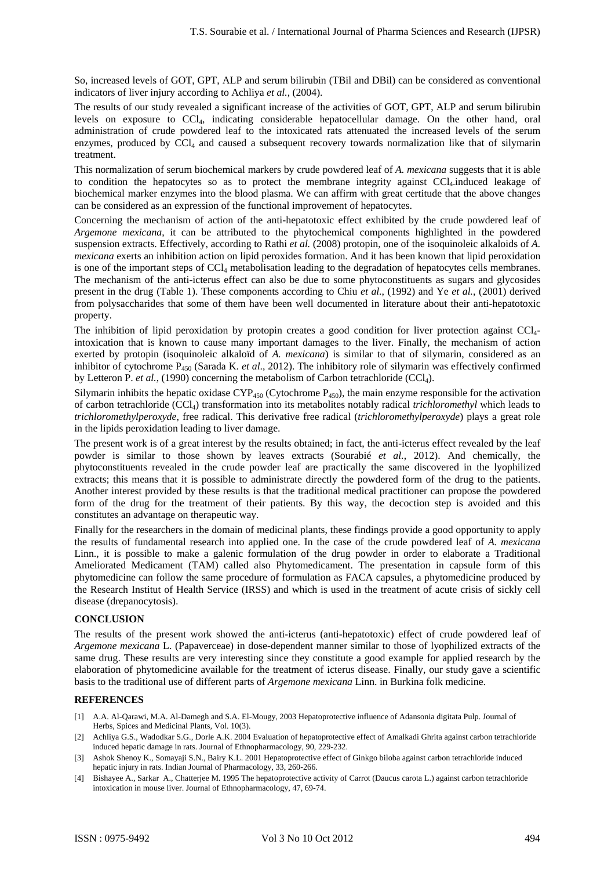So, increased levels of GOT, GPT, ALP and serum bilirubin (TBil and DBil) can be considered as conventional indicators of liver injury according to Achliya *et al.*, (2004).

The results of our study revealed a significant increase of the activities of GOT, GPT, ALP and serum bilirubin levels on exposure to CCl4, indicating considerable hepatocellular damage. On the other hand, oral administration of crude powdered leaf to the intoxicated rats attenuated the increased levels of the serum enzymes, produced by  $\text{CC}l_4$  and caused a subsequent recovery towards normalization like that of silymarin treatment.

This normalization of serum biochemical markers by crude powdered leaf of *A. mexicana* suggests that it is able to condition the hepatocytes so as to protect the membrane integrity against  $\text{Cl}_4$ -induced leakage of biochemical marker enzymes into the blood plasma. We can affirm with great certitude that the above changes can be considered as an expression of the functional improvement of hepatocytes.

Concerning the mechanism of action of the anti-hepatotoxic effect exhibited by the crude powdered leaf of *Argemone mexicana*, it can be attributed to the phytochemical components highlighted in the powdered suspension extracts. Effectively, according to Rathi *et al.* (2008) protopin, one of the isoquinoleic alkaloids of *A. mexicana* exerts an inhibition action on lipid peroxides formation. And it has been known that lipid peroxidation is one of the important steps of  $\text{CC}l_4$  metabolisation leading to the degradation of hepatocytes cells membranes. The mechanism of the anti-icterus effect can also be due to some phytoconstituents as sugars and glycosides present in the drug (Table 1). These components according to Chiu *et al.*, (1992) and Ye *et al.*, (2001) derived from polysaccharides that some of them have been well documented in literature about their anti-hepatotoxic property.

The inhibition of lipid peroxidation by protopin creates a good condition for liver protection against CCl4 intoxication that is known to cause many important damages to the liver. Finally, the mechanism of action exerted by protopin (isoquinoleic alkaloïd of *A. mexicana*) is similar to that of silymarin, considered as an inhibitor of cytochrome P450 (Sarada K. *et al*., 2012). The inhibitory role of silymarin was effectively confirmed by Letteron P. *et al.*, (1990) concerning the metabolism of Carbon tetrachloride (CCl<sub>4</sub>).

Silymarin inhibits the hepatic oxidase  $\text{CYP}_{450}$  (Cytochrome P<sub>450</sub>), the main enzyme responsible for the activation of carbon tetrachloride (CCl4) transformation into its metabolites notably radical *trichloromethyl* which leads to *trichloromethylperoxyde,* free radical. This derivative free radical (*trichloromethylperoxyde*) plays a great role in the lipids peroxidation leading to liver damage.

The present work is of a great interest by the results obtained; in fact, the anti-icterus effect revealed by the leaf powder is similar to those shown by leaves extracts (Sourabié *et al.*, 2012). And chemically, the phytoconstituents revealed in the crude powder leaf are practically the same discovered in the lyophilized extracts; this means that it is possible to administrate directly the powdered form of the drug to the patients. Another interest provided by these results is that the traditional medical practitioner can propose the powdered form of the drug for the treatment of their patients. By this way, the decoction step is avoided and this constitutes an advantage on therapeutic way.

Finally for the researchers in the domain of medicinal plants, these findings provide a good opportunity to apply the results of fundamental research into applied one. In the case of the crude powdered leaf of *A. mexicana* Linn., it is possible to make a galenic formulation of the drug powder in order to elaborate a Traditional Ameliorated Medicament (TAM) called also Phytomedicament. The presentation in capsule form of this phytomedicine can follow the same procedure of formulation as FACA capsules, a phytomedicine produced by the Research Institut of Health Service (IRSS) and which is used in the treatment of acute crisis of sickly cell disease (drepanocytosis).

# **CONCLUSION**

The results of the present work showed the anti-icterus (anti-hepatotoxic) effect of crude powdered leaf of *Argemone mexicana* L. (Papaverceae) in dose-dependent manner similar to those of lyophilized extracts of the same drug. These results are very interesting since they constitute a good example for applied research by the elaboration of phytomedicine available for the treatment of icterus disease. Finally, our study gave a scientific basis to the traditional use of different parts of *Argemone mexicana* Linn. in Burkina folk medicine.

## **REFERENCES**

- [1] A.A. Al-Qarawi, M.A. Al-Damegh and S.A. El-Mougy, 2003 Hepatoprotective influence of Adansonia digitata Pulp. Journal of Herbs, Spices and Medicinal Plants, Vol. 10(3).
- [2] Achliya G.S., Wadodkar S.G., Dorle A.K. 2004 Evaluation of hepatoprotective effect of Amalkadi Ghrita against carbon tetrachloride induced hepatic damage in rats. Journal of Ethnopharmacology, 90, 229-232.
- [3] Ashok Shenoy K., Somayaji S.N., Bairy K.L. 2001 Hepatoprotective effect of Ginkgo biloba against carbon tetrachloride induced hepatic injury in rats. Indian Journal of Pharmacology, 33, 260-266.
- [4] Bishayee A., Sarkar A., Chatterjee M. 1995 The hepatoprotective activity of Carrot (Daucus carota L.) against carbon tetrachloride intoxication in mouse liver. Journal of Ethnopharmacology, 47, 69-74.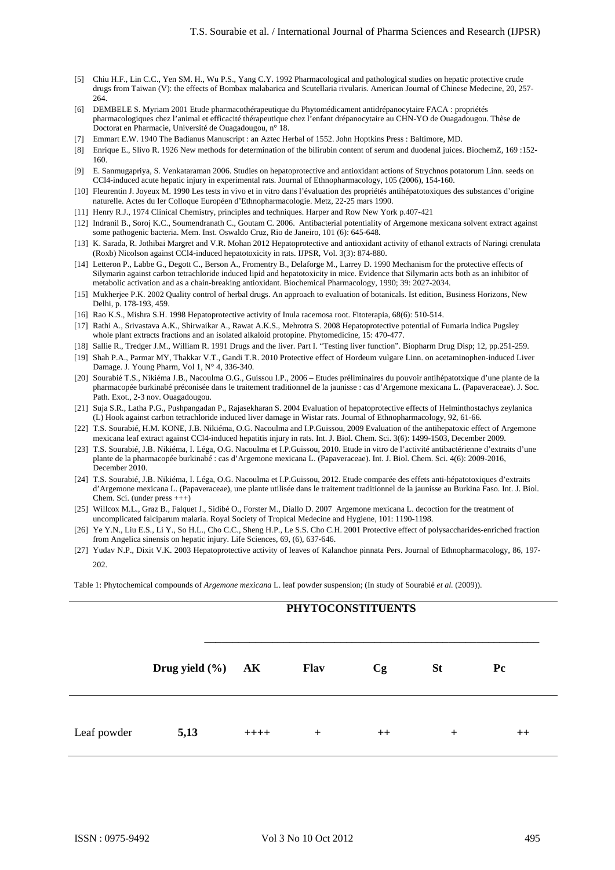- [5] Chiu H.F., Lin C.C., Yen SM. H., Wu P.S., Yang C.Y. 1992 Pharmacological and pathological studies on hepatic protective crude drugs from Taiwan (V): the effects of Bombax malabarica and Scutellaria rivularis. American Journal of Chinese Medecine, 20, 257- 264.
- [6] DEMBELE S. Myriam 2001 Etude pharmacothérapeutique du Phytomédicament antidrépanocytaire FACA : propriétés pharmacologiques chez l'animal et efficacité thérapeutique chez l'enfant drépanocytaire au CHN-YO de Ouagadougou. Thèse de Doctorat en Pharmacie, Université de Ouagadougou, n° 18.
- [7] Emmart E.W. 1940 The Badianus Manuscript : an Aztec Herbal of 1552. John Hoptkins Press : Baltimore, MD.
- [8] Enrique E., Slivo R. 1926 New methods for determination of the bilirubin content of serum and duodenal juices. BiochemZ, 169:152-160.
- [9] E. Sanmugapriya, S. Venkataraman 2006. Studies on hepatoprotective and antioxidant actions of Strychnos potatorum Linn. seeds on CCl4-induced acute hepatic injury in experimental rats. Journal of Ethnopharmacology, 105 (2006), 154-160.
- [10] Fleurentin J. Joyeux M. 1990 Les tests in vivo et in vitro dans l'évaluation des propriétés antihépatotoxiques des substances d'origine naturelle. Actes du Ier Colloque Européen d'Ethnopharmacologie. Metz, 22-25 mars 1990.
- [11] Henry R.J., 1974 Clinical Chemistry, principles and techniques. Harper and Row New York p.407-421
- [12] Indranil B., Soroj K.C., Soumendranath C., Goutam C. 2006. Antibacterial potentiality of Argemone mexicana solvent extract against some pathogenic bacteria. Mem. Inst. Oswaldo Cruz, Rio de Janeiro, 101 (6): 645-648.
- [13] K. Sarada, R. Jothibai Margret and V.R. Mohan 2012 Hepatoprotective and antioxidant activity of ethanol extracts of Naringi crenulata (Roxb) Nicolson against CCl4-induced hepatotoxicity in rats. IJPSR, Vol. 3(3): 874-880.
- [14] Letteron P., Labbe G., Degott C., Berson A., Fromentry B., Delaforge M., Larrey D. 1990 Mechanism for the protective effects of Silymarin against carbon tetrachloride induced lipid and hepatotoxicity in mice. Evidence that Silymarin acts both as an inhibitor of metabolic activation and as a chain-breaking antioxidant. Biochemical Pharmacology, 1990; 39: 2027-2034.
- [15] Mukherjee P.K. 2002 Quality control of herbal drugs. An approach to evaluation of botanicals. Ist edition, Business Horizons, New Delhi, p. 178-193, 459.
- [16] Rao K.S., Mishra S.H. 1998 Hepatoprotective activity of Inula racemosa root. Fitoterapia, 68(6): 510-514.
- [17] Rathi A., Srivastava A.K., Shirwaikar A., Rawat A.K.S., Mehrotra S. 2008 Hepatoprotective potential of Fumaria indica Pugsley whole plant extracts fractions and an isolated alkaloid protopine. Phytomedicine, 15: 470-477.
- [18] Sallie R., Tredger J.M., William R. 1991 Drugs and the liver. Part I. "Testing liver function". Biopharm Drug Disp; 12, pp.251-259.
- [19] Shah P.A., Parmar MY, Thakkar V.T., Gandi T.R. 2010 Protective effect of Hordeum vulgare Linn. on acetaminophen-induced Liver Damage. J. Young Pharm, Vol 1, N° 4, 336-340.
- [20] Sourabié T.S., Nikiéma J.B., Nacoulma O.G., Guissou I.P., 2006 Etudes préliminaires du pouvoir antihépatotxique d'une plante de la pharmacopée burkinabé préconisée dans le traitement traditionnel de la jaunisse : cas d'Argemone mexicana L. (Papaveraceae). J. Soc. Path. Exot., 2-3 nov. Ouagadougou.
- [21] Suja S.R., Latha P.G., Pushpangadan P., Rajasekharan S. 2004 Evaluation of hepatoprotective effects of Helminthostachys zeylanica (L) Hook against carbon tetrachloride induced liver damage in Wistar rats. Journal of Ethnopharmacology, 92, 61-66.
- [22] T.S. Sourabié, H.M. KONE, J.B. Nikiéma, O.G. Nacoulma and I.P.Guissou, 2009 Evaluation of the antihepatoxic effect of Argemone mexicana leaf extract against CCl4-induced hepatitis injury in rats. Int. J. Biol. Chem. Sci. 3(6): 1499-1503, December 2009.
- [23] T.S. Sourabié, J.B. Nikiéma, I. Léga, O.G. Nacoulma et I.P.Guissou, 2010. Etude in vitro de l'activité antibactérienne d'extraits d'une plante de la pharmacopée burkinabé : cas d'Argemone mexicana L. (Papaveraceae). Int. J. Biol. Chem. Sci. 4(6): 2009-2016, December 2010.
- [24] T.S. Sourabié, J.B. Nikiéma, I. Léga, O.G. Nacoulma et I.P.Guissou, 2012. Etude comparée des effets anti-hépatotoxiques d'extraits d'Argemone mexicana L. (Papaveraceae), une plante utilisée dans le traitement traditionnel de la jaunisse au Burkina Faso. Int. J. Biol. Chem. Sci. (under press +++)
- [25] Willcox M.L., Graz B., Falquet J., Sidibé O., Forster M., Diallo D. 2007 Argemone mexicana L. decoction for the treatment of uncomplicated falciparum malaria. Royal Society of Tropical Medecine and Hygiene, 101: 1190-1198.
- [26] Ye Y.N., Liu E.S., Li Y., So H.L., Cho C.C., Sheng H.P., Le S.S. Cho C.H. 2001 Protective effect of polysaccharides-enriched fraction from Angelica sinensis on hepatic injury. Life Sciences, 69, (6), 637-646.
- [27] Yudav N.P., Dixit V.K. 2003 Hepatoprotective activity of leaves of Kalanchoe pinnata Pers. Journal of Ethnopharmacology, 86, 197- 202.

Table 1: Phytochemical compounds of *Argemone mexicana* L. leaf powder suspension; (In study of Sourabié *et al.* (2009)).

|             |                       |        |             | <b>PHYTOCONSTITUENTS</b> |           |         |
|-------------|-----------------------|--------|-------------|--------------------------|-----------|---------|
|             | Drug yield $(\% )$ AK |        | <b>Flav</b> | Cg                       | <b>St</b> | Pc      |
| Leaf powder | 5,13                  | $++++$ | $^{+}$      | $^{++}$                  | $^{+}$    | $^{++}$ |